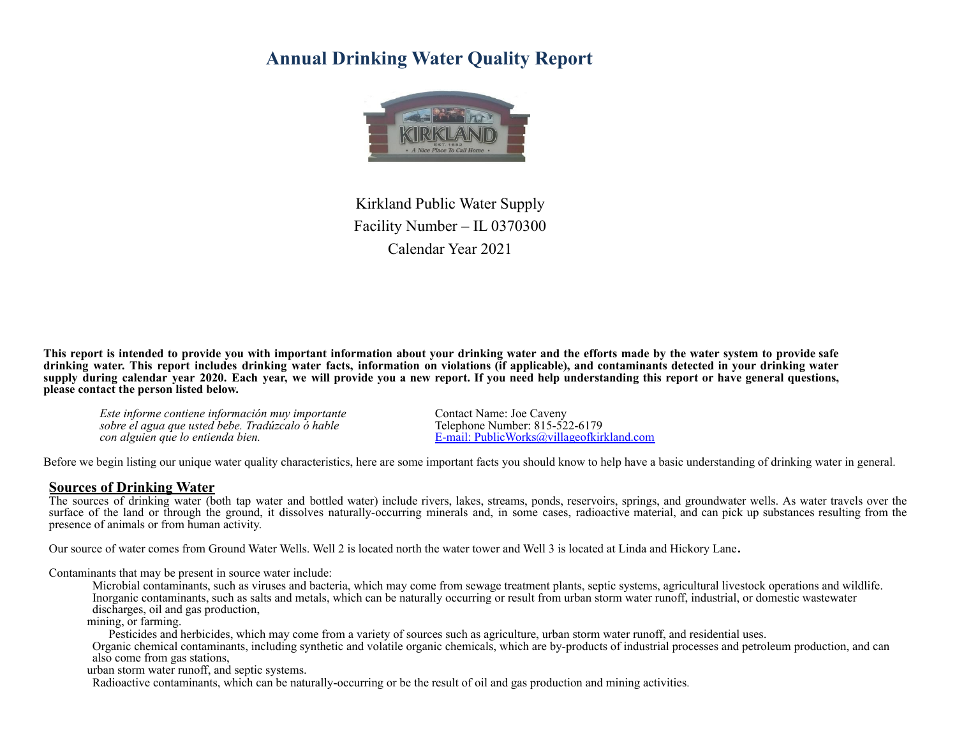# **Annual Drinking Water Quality Report**



Kirkland Public Water Supply Facility Number – IL 0370300 Calendar Year 2021

This report is intended to provide you with important information about your drinking water and the efforts made by the water system to provide safe drinking water. This report includes drinking water facts, information on violations (if applicable), and contaminants detected in your drinking water supply during calendar year 2020. Each year, we will provide you a new report. If you need help understanding this report or have general questions, **please contact the person listed below.**

*Este informe contiene información muy importante* Contact Name: Joe Caveny *sobre* el agua que usted *bebe. Tradúzcalo ó hable*<br>con alguien que lo entienda bien.

*con alguien que lo entienda bien.* E-mail: PublicWorks@villageofkirkland.com

Before we begin listing our unique water quality characteristics, here are some important facts you should know to help have a basic understanding of drinking water in general.

#### **Sources of Drinking Water**

The sources of drinking water (both tap water and bottled water) include rivers, lakes, streams, ponds, reservoirs, springs, and groundwater wells. As water travels over the surface of the land or through the ground, it dissolves naturally-occurring minerals and, in some cases, radioactive material, and can pick up substances resulting from the presence of animals or from human activity.

Our source of water comes from Ground Water Wells. Well 2 is located north the water tower and Well 3 is located at Linda and Hickory Lane**.**

Contaminants that may be present in source water include:

Microbial contaminants, such as viruses and bacteria, which may come from sewage treatment plants, septic systems, agricultural livestock operations and wildlife. Inorganic contaminants, such as salts and metals, which can be naturally occurring or result from urban storm water runoff, industrial, or domestic wastewater discharges, oil and gas production,

mining, or farming.

Pesticides and herbicides, which may come from a variety of sources such as agriculture, urban storm water runoff, and residential uses.

Organic chemical contaminants, including synthetic and volatile organic chemicals, which are by-products of industrial processes and petroleum production, and can also come from gas stations,

urban storm water runoff, and septic systems.

Radioactive contaminants, which can be naturally-occurring or be the result of oil and gas production and mining activities.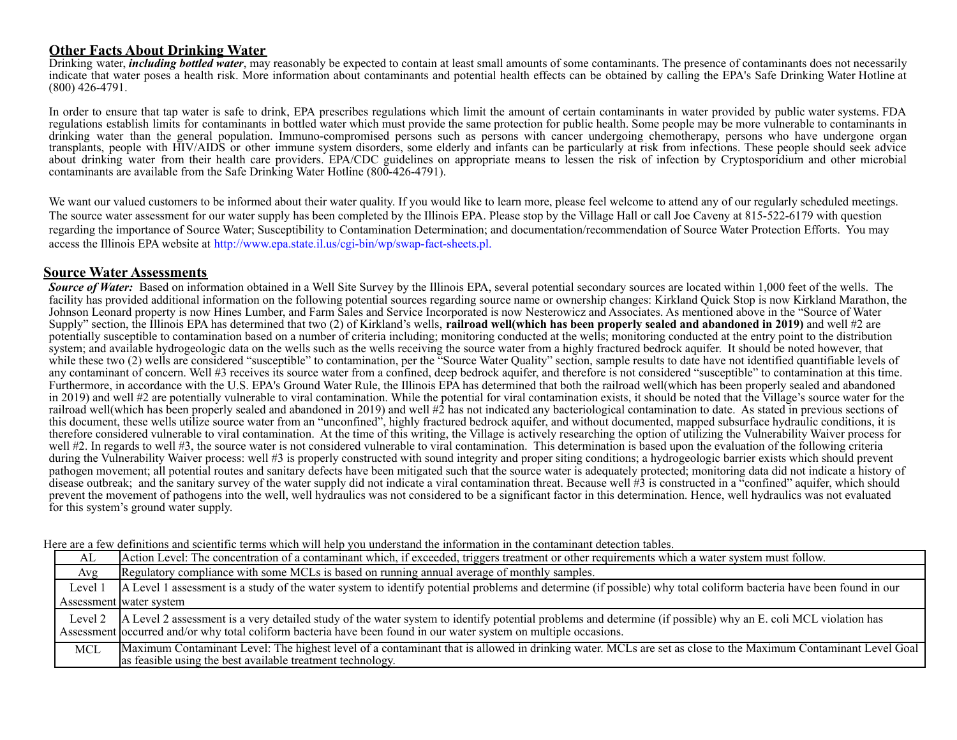### **Other Facts About Drinking Water**

Drinking water, *including bottled water*, may reasonably be expected to contain at least small amounts of some contaminants. The presence of contaminants does not necessarily indicate that water poses a health risk. More information about contaminants and potential health effects can be obtained by calling the EPA's Safe Drinking Water Hotline at (800) 426-4791.

In order to ensure that tap water is safe to drink, EPA prescribes regulations which limit the amount of certain contaminants in water provided by public water systems. FDA regulations establish limits for contaminants in bottled water which must provide the same protection for public health. Some people may be more vulnerable to contaminants in drinking water than the general population. Immuno-compromised persons such as persons with cancer undergoing chemotherapy, persons who have undergone organ transplants, people with HIV/AIDS or other immune system disorders, some elderly and infants can be particularly at risk from infections. These people should seek advice about drinking water from their health care providers. EPA/CDC guidelines on appropriate means to lessen the risk of infection by Cryptosporidium and other microbial contaminants are available from the Safe Drinking Water Hotline (800-426-4791).

We want our valued customers to be informed about their water quality. If you would like to learn more, please feel welcome to attend any of our regularly scheduled meetings. The source water assessment for our water supply has been completed by the Illinois EPA. Please stop by the Village Hall or call Joe Caveny at 815-522-6179 with question regarding the importance of Source Water; Susceptibility to Contamination Determination; and documentation/recommendation of Source Water Protection Efforts. You may access the Illinois EPA website at <http://www.epa.state.il.us/cgi-bin/wp/swap-fact-sheets.pl.>

### **Source Water Assessments**

**Source of Water:** Based on information obtained in a Well Site Survey by the Illinois EPA, several potential secondary sources are located within 1,000 feet of the wells. The facility has provided additional information on the following potential sources regarding source name or ownership changes: Kirkland Quick Stop is now Kirkland Marathon, the Johnson Leonard property is now Hines Lumber, and Farm Sales and Service Incorporated is now Nesterowicz and Associates. As mentioned above in the "Source of Water Supply" section, the Illinois EPA has determined that two (2) of Kirkland's wells, railroad well(which has been properly sealed and abandoned in 2019) and well #2 are potentially susceptible to contamination based on a number of criteria including; monitoring conducted at the wells; monitoring conducted at the entry point to the distribution system; and available hydrogeologic data on the wells such as the wells receiving the source water from a highly fractured bedrock aquifer. It should be noted however, that while these two (2) wells are considered "susceptible" to contamination, per the "Source Water Quality" section, sample results to date have not identified quantifiable levels of any contaminant of concern. Well #3 receives its source water from a confined, deep bedrock aquifer, and therefore is not considered "susceptible" to contamination at this time. Furthermore, in accordance with the U.S. EPA's Ground Water Rule, the Illinois EPA has determined that both the railroad well(which has been properly sealed and abandoned in 2019) and well #2 are potentially vulnerable to viral contamination. While the potential for viral contamination exists, it should be noted that the Village's source water for the railroad well(which has been properly sealed and abandoned in 2019) and well #2 has not indicated any bacteriological contamination to date. As stated in previous sections of this document, these wells utilize source water from an "unconfined", highly fractured bedrock aquifer, and without documented, mapped subsurface hydraulic conditions, it is therefore considered vulnerable to viral contamination. At the time of this writing, the Village is actively researching the option of utilizing the Vulnerability Waiver process for well #2. In regards to well #3, the source water is not considered vulnerable to viral contamination. This determination is based upon the evaluation of the following criteria during the Vulnerability Waiver process: well #3 is properly constructed with sound integrity and proper siting conditions; a hydrogeologic barrier exists which should prevent pathogen movement; all potential routes and sanitary defects have been mitigated such that the source water is adequately protected; monitoring data did not indicate a history of disease outbreak; and the sanitary survey of the water supply did not indicate a viral contamination threat. Because well #3 is constructed in a "confined" aquifer, which should prevent the movement of pathogens into the well, well hydraulics was not considered to be a significant factor in this determination. Hence, well hydraulics was not evaluated for this system's ground water supply.

Here are a few definitions and scientific terms which will help you understand the information in the contaminant detection tables.

| AL      | Action Level: The concentration of a contaminant which, if exceeded, triggers treatment or other requirements which a water system must follow.                                                                                |  |  |  |  |  |  |  |  |
|---------|--------------------------------------------------------------------------------------------------------------------------------------------------------------------------------------------------------------------------------|--|--|--|--|--|--|--|--|
| Avg     | Regulatory compliance with some MCLs is based on running annual average of monthly samples.                                                                                                                                    |  |  |  |  |  |  |  |  |
| Level 1 | A Level 1 assessment is a study of the water system to identify potential problems and determine (if possible) why total coliform bacteria have been found in our                                                              |  |  |  |  |  |  |  |  |
|         | Assessment water system                                                                                                                                                                                                        |  |  |  |  |  |  |  |  |
|         |                                                                                                                                                                                                                                |  |  |  |  |  |  |  |  |
|         | Level 2   A Level 2 assessment is a very detailed study of the water system to identify potential problems and determine (if possible) why an E. coli MCL violation has Assessment   occurred and/or why total coliform bacter |  |  |  |  |  |  |  |  |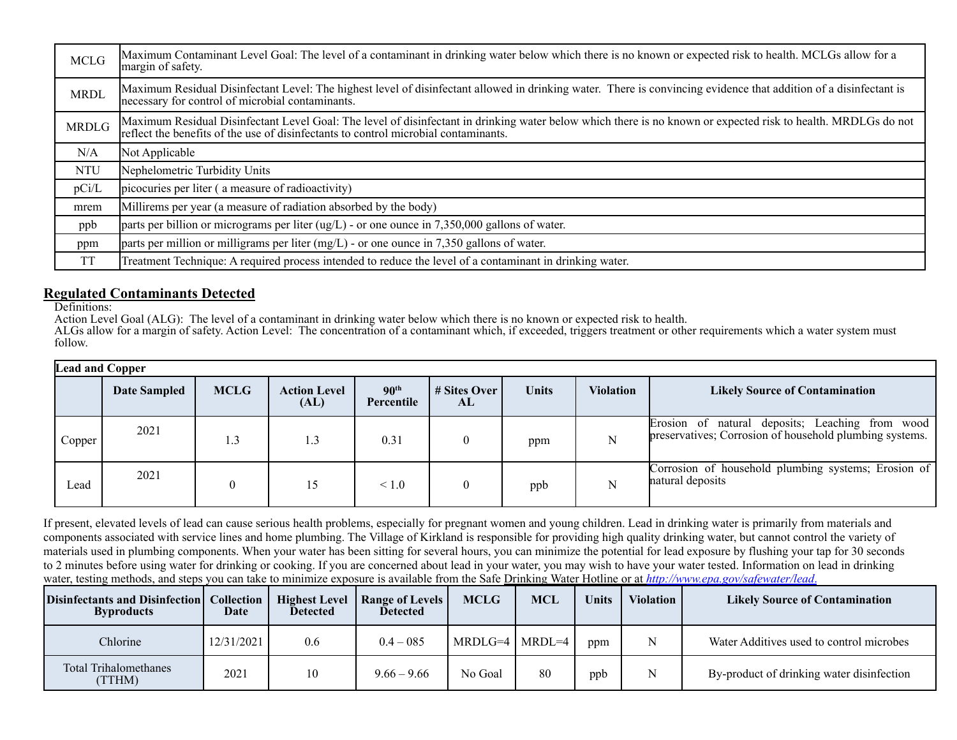| <b>MCLG</b>  | Maximum Contaminant Level Goal: The level of a contaminant in drinking water below which there is no known or expected risk to health. MCLGs allow for a<br>margin of safety.                                                                        |
|--------------|------------------------------------------------------------------------------------------------------------------------------------------------------------------------------------------------------------------------------------------------------|
| <b>MRDL</b>  | Maximum Residual Disinfectant Level: The highest level of disinfectant allowed in drinking water. There is convincing evidence that addition of a disinfectant is<br>necessary for control of microbial contaminants.                                |
| <b>MRDLG</b> | Maximum Residual Disinfectant Level Goal: The level of disinfectant in drinking water below which there is no known or expected risk to health. MRDLGs do not<br>reflect the benefits of the use of disinfectants to control microbial contaminants. |
| N/A          | Not Applicable                                                                                                                                                                                                                                       |
| <b>NTU</b>   | Nephelometric Turbidity Units                                                                                                                                                                                                                        |
| pCi/L        | picocuries per liter (a measure of radioactivity)                                                                                                                                                                                                    |
| mrem         | Millirems per year (a measure of radiation absorbed by the body)                                                                                                                                                                                     |
| ppb          | parts per billion or micrograms per liter $\left(\frac{uq}{L}\right)$ - or one ounce in 7,350,000 gallons of water.                                                                                                                                  |
| ppm          | parts per million or milligrams per liter $(mg/L)$ - or one ounce in 7,350 gallons of water.                                                                                                                                                         |
| <b>TT</b>    | Treatment Technique: A required process intended to reduce the level of a contaminant in drinking water.                                                                                                                                             |

# **Regulated Contaminants Detected**

Definitions:

Action Level Goal (ALG): The level of a contaminant in drinking water below which there is no known or expected risk to health.

ALGs allow for a margin of safety. Action Level: The concentration of a contaminant which, if exceeded, triggers treatment or other requirements which a water system must follow.

| <b>Lead and Copper</b> |              |             |                             |                                |                    |              |           |                                                                                                            |  |  |
|------------------------|--------------|-------------|-----------------------------|--------------------------------|--------------------|--------------|-----------|------------------------------------------------------------------------------------------------------------|--|--|
|                        | Date Sampled | <b>MCLG</b> | <b>Action Level</b><br>(AL) | 90 <sup>th</sup><br>Percentile | # Sites Over<br>AL | <b>Units</b> | Violation | <b>Likely Source of Contamination</b>                                                                      |  |  |
| Copper                 | 2021         | 1.3         | 1.3                         | 0.31                           |                    | ppm          |           | Erosion of natural deposits; Leaching from wood<br>preservatives; Corrosion of household plumbing systems. |  |  |
| Lead                   | 2021         | 0           | 15                          | $\leq 1.0$                     |                    | ppb          |           | Corrosion of household plumbing systems; Erosion of<br>natural deposits                                    |  |  |

If present, elevated levels of lead can cause serious health problems, especially for pregnant women and young children. Lead in drinking water is primarily from materials and components associated with service lines and home plumbing. The Village of Kirkland is responsible for providing high quality drinking water, but cannot control the variety of materials used in plumbing components. When your water has been sitting for several hours, you can minimize the potential for lead exposure by flushing your tap for 30 seconds to 2 minutes before using water for drinking or cooking. If you are concerned about lead in your water, you may wish to have your water tested. Information on lead in drinking water, testing methods, and steps you can take to minimize exposure is available from the Safe Drinking Water Hotline or at *[http://www.epa.gov/safewater/lead](http://www.epa.gov/safewater/lead.)*.

| Disinfectants and Disinfection   Collection<br><b>Byproducts</b> | Date       | <b>Detected</b> | Highest Level   Range of Levels  <br><b>Detected</b> | <b>MCLG</b>          | MCL | Units | <b>Violation</b> | <b>Likely Source of Contamination</b>     |
|------------------------------------------------------------------|------------|-----------------|------------------------------------------------------|----------------------|-----|-------|------------------|-------------------------------------------|
| Chlorine                                                         | 12/31/2021 | 0.6             | $0.4 - 085$                                          | $MRDLG=4$   $MRDL=4$ |     | ppm   |                  | Water Additives used to control microbes  |
| <b>Total Trihalomethanes</b><br>(TTHM)                           | 2021       | 10              | $9.66 - 9.66$                                        | No Goal              | 80  | ppb   |                  | By-product of drinking water disinfection |